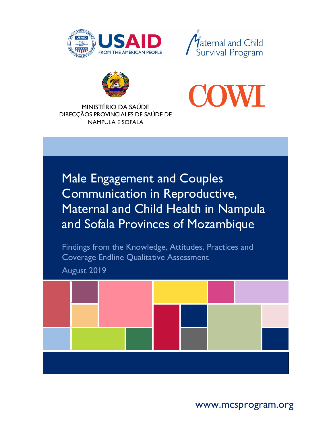





MINISTÉRIO DA SAÚDE

DIRECÇÃOS PROVINCIALES DE SAÚDE DE NAMPULA E SOFALA

Male Engagement and Couples Communication in Reproductive, Maternal and Child Health in Nampula and Sofala Provinces of Mozambique

Findings from the Knowledge, Attitudes, Practices and Coverage Endline Qualitative Assessment

August 2019



www.mcsprogram.org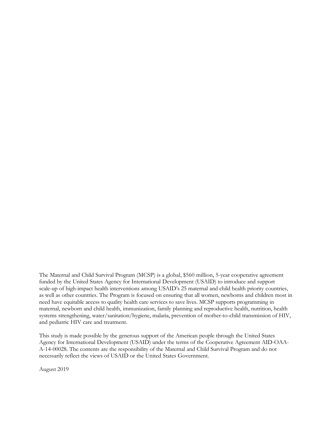The Maternal and Child Survival Program (MCSP) is a global, \$560 million, 5-year cooperative agreement funded by the United States Agency for International Development (USAID) to introduce and support scale-up of high-impact health interventions among USAID's 25 maternal and child health priority countries, as well as other countries. The Program is focused on ensuring that all women, newborns and children most in need have equitable access to quality health care services to save lives. MCSP supports programming in maternal, newborn and child health, immunization, family planning and reproductive health, nutrition, health systems strengthening, water/sanitation/hygiene, malaria, prevention of mother-to-child transmission of HIV, and pediatric HIV care and treatment.

This study is made possible by the generous support of the American people through the United States Agency for International Development (USAID) under the terms of the Cooperative Agreement AID-OAA-A-14-00028. The contents are the responsibility of the Maternal and Child Survival Program and do not necessarily reflect the views of USAID or the United States Government.

August 2019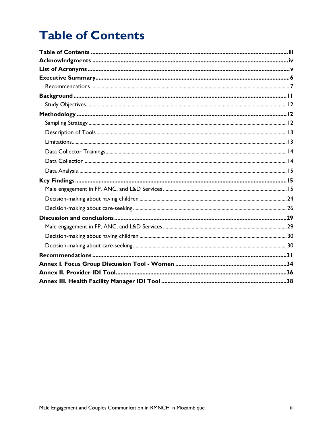# <span id="page-2-0"></span>**Table of Contents**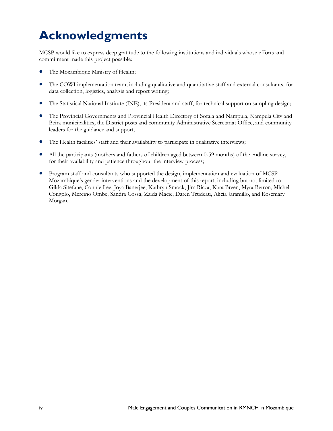# <span id="page-3-0"></span>**Acknowledgments**

MCSP would like to express deep gratitude to the following institutions and individuals whose efforts and commitment made this project possible:

- The Mozambique Ministry of Health;
- The COWI implementation team, including qualitative and quantitative staff and external consultants, for data collection, logistics, analysis and report writing;
- The Statistical National Institute (INE), its President and staff, for technical support on sampling design;
- The Provincial Governments and Provincial Health Directory of Sofala and Nampula, Nampula City and Beira municipalities, the District posts and community Administrative Secretariat Office, and community leaders for the guidance and support;
- The Health facilities' staff and their availability to participate in qualitative interviews;
- All the participants (mothers and fathers of children aged between 0-59 months) of the endline survey, for their availability and patience throughout the interview process;
- Program staff and consultants who supported the design, implementation and evaluation of MCSP Mozambique's gender interventions and the development of this report, including but not limited to Gilda Sitefane, Connie Lee, Joya Banerjee, Kathryn Smock, Jim Ricca, Kara Breen, Myra Betron, Michel Congolo, Mercino Ombe, Sandra Cossa, Zaida Macie, Daren Trudeau, Alicia Jaramillo, and Rosemary Morgan.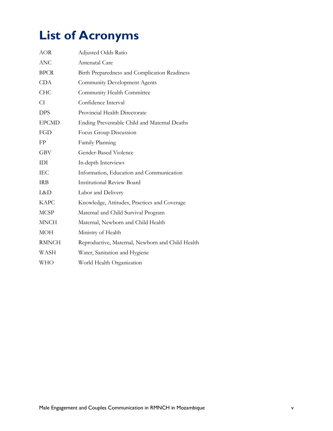# <span id="page-4-0"></span>**List of Acronyms**

| <b>AOR</b>   | Adjusted Odds Ratio                              |
|--------------|--------------------------------------------------|
| <b>ANC</b>   | Antenatal Care                                   |
| <b>BPCR</b>  | Birth Preparedness and Complication Readiness    |
| <b>CDA</b>   | Community Development Agents                     |
| <b>CHC</b>   | Community Health Committee                       |
| CI.          | Confidence Interval                              |
| <b>DPS</b>   | Provincial Health Directorate                    |
| <b>EPCMD</b> | Ending Preventable Child and Maternal Deaths     |
| FGD          | Focus Group Discussion                           |
| FP           | Family Planning                                  |
| <b>GBV</b>   | Gender-Based Violence                            |
| IDI          | In-depth Interviews                              |
| IEC          | Information, Education and Communication         |
| <b>IRB</b>   | <b>Institutional Review Board</b>                |
| L&D          | Labor and Delivery                               |
| <b>KAPC</b>  | Knowledge, Attitudes, Practices and Coverage     |
| <b>MCSP</b>  | Maternal and Child Survival Program              |
| <b>MNCH</b>  | Maternal, Newborn and Child Health               |
| MOH          | Ministry of Health                               |
| <b>RMNCH</b> | Reproductive, Maternal, Newborn and Child Health |
| WASH         | Water, Sanitation and Hygiene                    |
| <b>WHO</b>   | World Health Organization                        |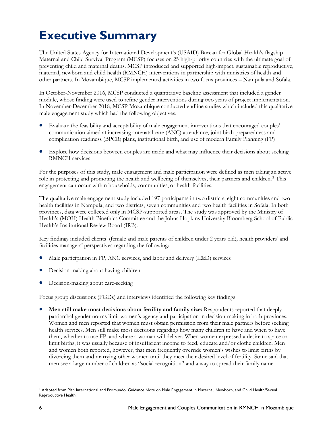# <span id="page-5-0"></span>**Executive Summary**

The United States Agency for International Development's (USAID) Bureau for Global Health's flagship Maternal and Child Survival Program (MCSP) focuses on 25 high-priority countries with the ultimate goal of preventing child and maternal deaths. MCSP introduced and supported high-impact, sustainable reproductive, maternal, newborn and child health (RMNCH) interventions in partnership with ministries of health and other partners. In Mozambique, MCSP implemented activities in two focus provinces – Nampula and Sofala.

In October-November 2016, MCSP conducted a quantitative baseline assessment that included a gender module, whose finding were used to refine gender interventions during two years of project implementation. In November-December 2018, MCSP Mozambique conducted endline studies which included this qualitative male engagement study which had the following objectives:

- Evaluate the feasibility and acceptability of male engagement interventions that encouraged couples' communication aimed at increasing antenatal care (ANC) attendance, joint birth preparedness and complication readiness (BPCR) plans, institutional birth, and use of modern Family Planning (FP)
- Explore how decisions between couples are made and what may influence their decisions about seeking RMNCH services

For the purposes of this study, male engagement and male participation were defined as men taking an active role in protecting and promoting the health and wellbeing of themselves, their partners and children. [1](#page-5-1) This engagement can occur within households, communities, or health facilities.

The qualitative male engagement study included 197 participants in two districts, eight communities and two health facilities in Nampula, and two districts, seven communities and two health facilities in Sofala. In both provinces, data were collected only in MCSP-supported areas. The study was approved by the Ministry of Health's (MOH) Health Bioethics Committee and the Johns Hopkins University Bloomberg School of Public Health's Institutional Review Board (IRB).

Key findings included clients' (female and male parents of children under 2 years old), health providers' and facilities managers' perspectives regarding the following:

- Male participation in FP, ANC services, and labor and delivery (L&D) services
- Decision-making about having children
- Decision-making about care-seeking

Focus group discussions (FGDs) and interviews identified the following key findings:

• **Men still make most decisions about fertility and family size:** Respondents reported that deeply patriarchal gender norms limit women's agency and participation in decision-making in both provinces. Women and men reported that women must obtain permission from their male partners before seeking health services. Men still make most decisions regarding how many children to have and when to have them, whether to use FP, and where a woman will deliver. When women expressed a desire to space or limit births, it was usually because of insufficient income to feed, educate and/or clothe children. Men and women both reported, however, that men frequently override women's wishes to limit births by divorcing them and marrying other women until they meet their desired level of fertility. Some said that men see a large number of children as "social recognition" and a way to spread their family name.

<span id="page-5-1"></span> $\overline{\phantom{a}}$ <sup>1</sup> Adapted from Plan International and Promundo. Guidance Note on Male Engagement in Maternal, Newborn, and Child Health/Sexual Reproductive Health.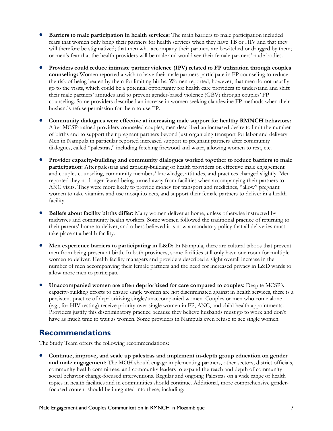- **Barriers to male participation in health services:** The main barriers to male participation included fears that women only bring their partners for health services when they have TB or HIV and that they will therefore be stigmatized; that men who accompany their partners are bewitched or drugged by them; or men's fear that the health providers will be male and would see their female partners' nude bodies.
- **Providers could reduce intimate partner violence (IPV) related to FP utilization through couples counseling:** Women reported a wish to have their male partners participate in FP counseling to reduce the risk of being beaten by them for limiting births. Women reported, however, that men do not usually go to the visits, which could be a potential opportunity for health care providers to understand and shift their male partners' attitudes and to prevent gender-based violence (GBV) through couples' FP counseling. Some providers described an increase in women seeking clandestine FP methods when their husbands refuse permission for them to use FP.
- **Community dialogues were effective at increasing male support for healthy RMNCH behaviors:** After MCSP-trained providers counseled couples, men described an increased desire to limit the number of births and to support their pregnant partners beyond just organizing transport for labor and delivery. Men in Nampula in particular reported increased support to pregnant partners after community dialogues, called "palestras," including fetching firewood and water, allowing women to rest, etc.
- **Provider capacity-building and community dialogues worked together to reduce barriers to male participation:** After palestras and capacity-building of health providers on effective male engagement and couples counseling, community members' knowledge, attitudes, and practices changed slightly. Men reported they no longer feared being turned away from facilities when accompanying their partners to ANC visits. They were more likely to provide money for transport and medicines, "allow" pregnant women to take vitamins and use mosquito nets, and support their female partners to deliver in a health facility.
- **Beliefs about facility births differ:** Many women deliver at home, unless otherwise instructed by midwives and community health workers. Some women followed the traditional practice of returning to their parents' home to deliver, and others believed it is now a mandatory policy that all deliveries must take place at a health facility.
- **Men experience barriers to participating in L&D:** In Nampula, there are cultural taboos that prevent men from being present at birth. In both provinces, some facilities still only have one room for multiple women to deliver. Health facility managers and providers described a slight overall increase in the number of men accompanying their female partners and the need for increased privacy in L&D wards to allow more men to participate.
- **Unaccompanied women are often deprioritized for care compared to couples:** Despite MCSP's capacity-building efforts to ensure single women are not discriminated against in health services, there is a persistent practice of deprioritizing single/unaccompanied women. Couples or men who come alone (e.g., for HIV testing) receive priority over single women in FP, ANC, and child health appointments. Providers justify this discriminatory practice because they believe husbands must go to work and don't have as much time to wait as women. Some providers in Nampula even refuse to see single women.

## <span id="page-6-0"></span>**Recommendations**

The Study Team offers the following recommendations:

• **Continue, improve, and scale up palestras and implement in-depth group education on gender and male engagement**: The MOH should engage implementing partners, other sectors, district officials, community health committees, and community leaders to expand the reach and depth of community social behavior change-focused interventions. Regular and ongoing Palestras on a wide range of health topics in health facilities and in communities should continue. Additional, more comprehensive genderfocused content should be integrated into these, including: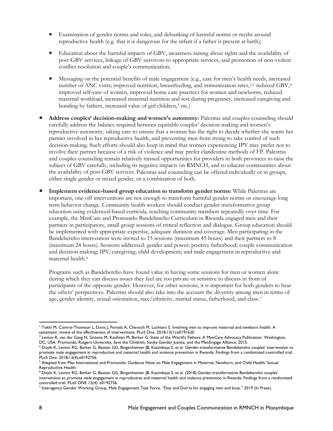- Examination of gender norms and roles, and debunking of harmful norms or myths around reproductive health (e.g. that it is dangerous for the infant if a father is present at birth);
- Education about the harmful impacts of GBV, awareness raising about rights and the availability of post-GBV services, linkage of GBV survivors to appropriate services, and promotion of non-violent conflict resolution and couple's communication;
- Messaging on the potential benefits of male engagement (e.g., care for men's health needs, increased number of ANC visits; improved nutrition, breastfeeding, and immunization rates,  $2,3$  $2,3$  reduced GBV,  $4$ improved self-care of women, improved home care practices for women and newborns, reduced maternal workload, increased maternal nutrition and rest during pregnancy, increased caregiving and bonding by fathers, increased value of girl children,<sup>[5](#page-7-3)</sup> etc.)
- **Address couples' decision-making and women's autonomy:** Palestras and couples counseling should carefully address the balance required between equitable couples' decision-making and women's reproductive autonomy, taking care to ensure that a woman has the right to decide whether she wants her partner involved in her reproductive health, and preventing men from trying to take control of such decision-making. Such efforts should also keep in mind that women experiencing IPV may prefer not to involve their partner because of a risk of violence and may prefer clandestine methods of FP. Palestras and couples counseling remain relatively missed opportunities for providers in both provinces to raise the subject of GBV carefully, including its negative impacts on RMNCH, and to educate communities about the availability of post-GBV services. Palestras and counseling can be offered individually or in groups, either single gender or mixed gender, or a combination of both.
- **Implement evidence-based group education to transform gender norms:** While Palestras are important, one-off interventions are not enough to transform harmful gender norms or encourage long term behavior change. Community health workers should conduct gender transformative group education using evidenced-based curricula, reaching community members repeatedly over time. For example, the MenCare and Promundo Bandebereho Curriculum in Rwanda engaged men and their partners in participatory, small group sessions of critical reflection and dialogue. Group education should be implemented with appropriate expertise, adequate duration and coverage. Men participating in the Bandebereho intervention were invited to 15 sessions (maximum 45 hours) and their partners to 8 (maximum 24 hours). Sessions addressed: gender and power; positive fatherhood; couple communication and decision-making; IPV; caregiving; child development; and male engagement in reproductive and maternal health.[6](#page-7-4)

Programs such as Bandebereho have found value in having some sessions for men or women alone during which they can discuss issues they feel are too private or sensitive to discuss in front of participants of the opposite gender. However, for other sessions, it is important for both genders to hear the others' perspectives. Palestras should also take into the account the diversity among men in terms of age, gender identity, sexual orientation, race/ethnicity, marital status, fatherhood, and class.[7](#page-7-5)

<span id="page-7-0"></span>l  $^2$  Tokhi M, Comrie-Thomson L, Davis J, Portela A, Chersich M, Luchters S. Involving men to improve maternal and newborn health: A systematic review of the effectiveness of interventions. PLoS One. 2018;13(1):e0191620.

<span id="page-7-1"></span><sup>&</sup>lt;sup>3</sup> Levtov R, van der Gaag N, Greene M, Kaufman M, Barker G. State of the World's Fathers: A MenCare Advocacy Publication. Washington, DC, USA: Promundo, Rutgers University, Save the Children, Sonke Gender Justice, and the MenEngage Alliance; 2015.

<span id="page-7-2"></span><sup>4</sup> Doyle K, Levtov RG, Barker G, Bastian GG, Bingenheimer JB, Kazimbaya S, et al. Gender-transformative Bandebereho couples' intervention to promote male engagement in reproductive and maternal health and violence prevention in Rwanda: Findings from a randomized controlled trial. PLoS One*.* 2018;13(4):e0192756.

<span id="page-7-3"></span><sup>&</sup>lt;sup>5</sup> Adapted from Plan International and Promundo. Guidance Note on Male Engagement in Maternal, Newborn, and Child Health/ Sexual Reproductive Health.

<span id="page-7-4"></span><sup>6</sup> Doyle K, Levtov RG, Barker G, Bastian GG, Bingenheimer JB, Kazimbaya S, et al. (2018) Gender-transformative Bandebereho couples' intervention to promote male engagement in reproductive and maternal health and violence prevention in Rwanda: Findings from a randomized controlled trial. PLoS ONE 13(4): e0192756.

<span id="page-7-5"></span><sup>7</sup> Interagency Gender Working Group, Male Engagement Task Force. "Dos and Don'ts for engaging men and boys." 2019 (In Press).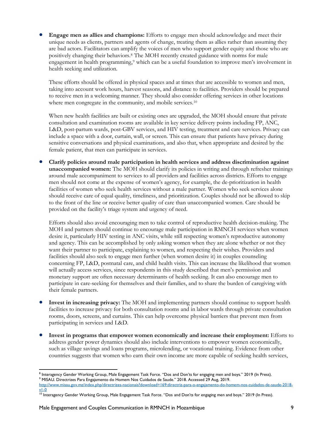• **Engage men as allies and champions:** Efforts to engage men should acknowledge and meet their unique needs as clients, partners and agents of change, treating them as allies rather than assuming they are bad actors. Facilitators can amplify the voices of men who support gender equity and those who are positively changing their behaviors[.8](#page-8-0) The MOH recently created guidance with norms for male engagement in health programming,<sup>[9](#page-8-1)</sup> which can be a useful foundation to improve men's involvement in health seeking and utilization.

These efforts should be offered in physical spaces and at times that are accessible to women and men, taking into account work hours, harvest seasons, and distance to facilities. Providers should be prepared to receive men in a welcoming manner. They should also consider offering services in other locations where men congregate in the community, and mobile services.<sup>[10](#page-8-2)</sup>

When new health facilities are built or existing ones are upgraded, the MOH should ensure that private consultation and examination rooms are available in key service delivery points including FP, ANC, L&D, post-partum wards, post-GBV services, and HIV testing, treatment and care services. Privacy can include a space with a door, curtain, wall, or screen. This can ensure that patients have privacy during sensitive conversations and physical examinations, and also that, when appropriate and desired by the female patient, that men can participate in services.

• **Clarify policies around male participation in health services and address discrimination against unaccompanied women:** The MOH should clarify its policies in writing and through refresher trainings around male accompaniment to services to all providers and facilities across districts. Efforts to engage men should not come at the expense of women's agency, for example, the de-prioritization in health facilities of women who seek health services without a male partner. Women who seek services alone should receive care of equal quality, timeliness, and prioritization. Couples should not be allowed to skip to the front of the line or receive better quality of care than unaccompanied women. Care should be provided on the facility's triage system and urgency of need.

Efforts should also avoid encouraging men to take control of reproductive health decision-making. The MOH and partners should continue to encourage male participation in RMNCH services when women desire it, particularly HIV testing in ANC visits, while still respecting women's reproductive autonomy and agency. This can be accomplished by only asking women when they are alone whether or not they want their partner to participate, explaining to women, and respecting their wishes. Providers and facilities should also seek to engage men further (when women desire it) in couples counseling concerning FP, L&D, postnatal care, and child health visits. This can increase the likelihood that women will actually access services, since respondents in this study described that men's permission and monetary support are often necessary determinants of health seeking. It can also encourage men to participate in care-seeking for themselves and their families, and to share the burden of caregiving with their female partners.

- **Invest in increasing privacy:** The MOH and implementing partners should continue to support health facilities to increase privacy for both consultation rooms and in labor wards through private consultation rooms, doors, screens, and curtains. This can help overcome physical barriers that prevent men from participating in services and L&D.
- **Invest in programs that empower women economically and increase their employment:** Efforts to address gender power dynamics should also include interventions to empower women economically, such as village savings and loans programs, microlending, or vocational training. Evidence from other countries suggests that women who earn their own income are more capable of seeking health services,

<span id="page-8-0"></span><sup>&</sup>lt;sup>8</sup> Interagency Gender Working Group, Male Engagement Task Force. "Dos and Don'ts for engaging men and boys." 2019 (In Press).<br><sup>9</sup> MISAU. Directrizes Para Engajamento do Homem Nos Cuidados de Saude." 2018. Accessed 29 Aug,

<span id="page-8-1"></span>[http://www.misau.gov.mz/index.php/directrizes-nacionais?download=169:directriz-para-o-engajamento-do-homem-nos-cuidados-de-saude-2018](http://www.misau.gov.mz/index.php/directrizes-nacionais?download=169:directriz-para-o-engajamento-do-homem-nos-cuidados-de-saude-2018-v1-0) [v1-0](http://www.misau.gov.mz/index.php/directrizes-nacionais?download=169:directriz-para-o-engajamento-do-homem-nos-cuidados-de-saude-2018-v1-0)

<span id="page-8-2"></span> $\frac{10}{10}$  Interagency Gender Working Group, Male Engagement Task Force. "Dos and Don'ts for engaging men and boys." 2019 (In Press).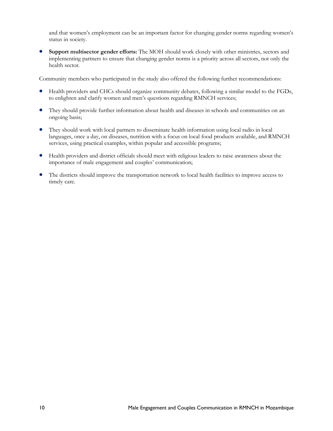and that women's employment can be an important factor for changing gender norms regarding women's status in society.

• **Support multisector gender efforts:** The MOH should work closely with other ministries, sectors and implementing partners to ensure that changing gender norms is a priority across all sectors, not only the health sector.

Community members who participated in the study also offered the following further recommendations:

- Health providers and CHCs should organize community debates, following a similar model to the FGDs, to enlighten and clarify women and men's questions regarding RMNCH services;
- They should provide further information about health and diseases in schools and communities on an ongoing basis;
- They should work with local partners to disseminate health information using local radio in local languages, once a day, on diseases, nutrition with a focus on local food products available, and RMNCH services, using practical examples, within popular and accessible programs;
- Health providers and district officials should meet with religious leaders to raise awareness about the importance of male engagement and couples' communication;
- The districts should improve the transportation network to local health facilities to improve access to timely care.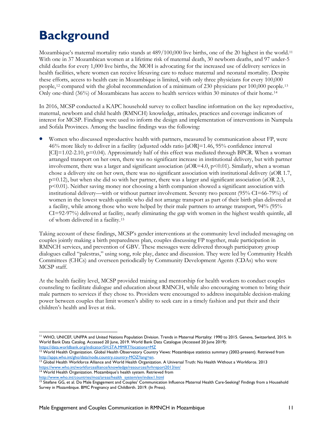# <span id="page-10-0"></span>**Background**

Mozambique's maternal mortality ratio stands at 489/100,000 live births, one of the 20 highest in the world.[11](#page-10-1) With one in 37 Mozambican women at a lifetime risk of maternal death, 30 newborn deaths, and 97 under-5 child deaths for every 1,000 live births, the MOH is advocating for the increased use of delivery services in health facilities, where women can receive lifesaving care to reduce maternal and neonatal mortality. Despite these efforts, access to health care in Mozambique is limited, with only three physicians for every 100,000 people,[12](#page-10-2) compared with the global recommendation of a minimum of 230 physicians per 100,000 people.[13](#page-10-3) Only one-third (36%) of Mozambicans has access to health services within 30 minutes of their home.[14](#page-10-4)

In 2016, MCSP conducted a KAPC household survey to collect baseline information on the key reproductive, maternal, newborn and child health (RMNCH) knowledge, attitudes, practices and coverage indicators of interest for MCSP. Findings were used to inform the design and implementation of interventions in Nampula and Sofala Provinces. Among the baseline findings was the following:

• Women who discussed reproductive health with partners, measured by communication about FP, were 46% more likely to deliver in a facility (adjusted odds ratio [aOR]=1.46, 95% confidence interval  $\text{[CI]}=1.02-2.10$ ,  $\text{p}=0.04$ ). Approximately half of this effect was mediated through BPCR. When a woman arranged transport on her own, there was no significant increase in institutional delivery, but with partner involvement, there was a larger and significant association ( $aOR=4.0$ ,  $p<0.01$ ). Similarly, when a woman chose a delivery site on her own, there was no significant association with institutional delivery (aOR 1.7,  $p=0.12$ ), but when she did so with her partner, there was a larger and significant association (aOR 2.3, p<0.01). Neither saving money nor choosing a birth companion showed a significant association with institutional delivery—with or without partner involvement. Seventy two percent (95% CI=66-79%) of women in the lowest wealth quintile who did not arrange transport as part of their birth plan delivered at a facility, while among those who were helped by their male partners to arrange transport, 94% (95% CI=92-97%) delivered at facility, nearly eliminating the gap with women in the highest wealth quintile, all of whom delivered in a facility.[15](#page-10-5)

Taking account of these findings, MCSP's gender interventions at the community level included messaging on couples jointly making a birth preparedness plan, couples discussing FP together, male participation in RMNCH services, and prevention of GBV. These messages were delivered through participatory group dialogues called "palestras," using song, role play, dance and discussion. They were led by Community Health Committees (CHCs) and overseen periodically by Community Development Agents (CDAs) who were MCSP staff.

At the health facility level, MCSP provided training and mentorship for health workers to conduct couples counseling to facilitate dialogue and education about RMNCH, while also encouraging women to bring their male partners to services if they chose to. Providers were encouraged to address inequitable decision-making power between couples that limit women's ability to seek care in a timely fashion and put their and their children's health and lives at risk.

<span id="page-10-1"></span>l <sup>11</sup> WHO, UNICEF, UNFPA and United Nations Population Division. Trends in Maternal Mortality: 1990 to 2015. Geneva, Switzerland, 2015. In World Bank Data Catalog. Accessed 20 June, 2019. World Bank Data Catalogue (Accessed 20 June 2019): <https://data.worldbank.org/indicator/SH.STA.MMRT?locations=MZ>

<span id="page-10-2"></span><sup>&</sup>lt;sup>12</sup> World Health Organization. Global Health Observatory Country Views: Mozambique statistics summary (2002-present). Retrieved from http://apps.who.int/gho/data/node.country.country-MOZ?lang=en.<br><sup>13</sup> Global Health Workforce Alliance and World Health Organization. A Universal Truth: No Health Without a Workforce. 2013

<span id="page-10-3"></span><https://www.who.int/workforcealliance/knowledge/resources/hrhreport2013/en/>

<span id="page-10-4"></span><sup>&</sup>lt;sup>14</sup> World Health Organization. Mozambique's health system. Retrieved from [http://www.who.int/countries/moz/areas/health\\_system/en/index1.html](http://www.who.int/countries/moz/areas/health_system/en/index1.html)

<span id="page-10-5"></span><sup>&</sup>lt;sup>15</sup> Sitefane GG, et al. Do Male Engagement and Couples' Communication Influence Maternal Health Care-Seeking? Findings from a Household Survey in Mozambique. BMC Pregnancy and Childbirth. 2019. (In Press).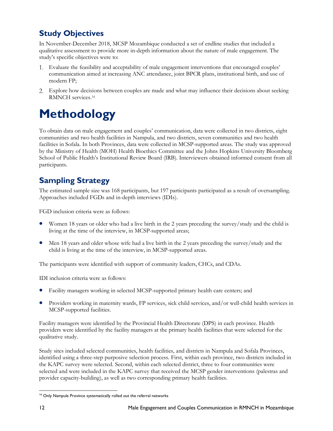## <span id="page-11-0"></span>**Study Objectives**

In November-December 2018, MCSP Mozambique conducted a set of endline studies that included a qualitative assessment to provide more in-depth information about the nature of male engagement. The study's specific objectives were to:

- Evaluate the feasibility and acceptability of male engagement interventions that encouraged couples' communication aimed at increasing ANC attendance, joint BPCR plans, institutional birth, and use of modern FP;
- Explore how decisions between couples are made and what may influence their decisions about seeking RMNCH services.[16](#page-11-3)

# <span id="page-11-1"></span>**Methodology**

To obtain data on male engagement and couples' communication, data were collected in two districts, eight communities and two health facilities in Nampula, and two districts, seven communities and two health facilities in Sofala. In both Provinces, data were collected in MCSP-supported areas. The study was approved by the Ministry of Health (MOH) Health Bioethics Committee and the Johns Hopkins University Bloomberg School of Public Health's Institutional Review Board (IRB). Interviewers obtained informed consent from all participants.

## <span id="page-11-2"></span>**Sampling Strategy**

The estimated sample size was 168 participants, but 197 participants participated as a result of oversampling. Approaches included FGDs and in-depth interviews (IDIs).

FGD inclusion criteria were as follows:

- Women 18 years or older who had a live birth in the 2 years preceding the survey/study and the child is living at the time of the interview, in MCSP-supported areas;
- Men 18 years and older whose wife had a live birth in the 2 years preceding the survey/study and the child is living at the time of the interview, in MCSP-supported areas.

The participants were identified with support of community leaders, CHCs, and CDAs.

IDI inclusion criteria were as follows:

- Facility managers working in selected MCSP-supported primary health care centers; and
- Providers working in maternity wards, FP services, sick child services, and/or well-child health services in MCSP-supported facilities.

Facility managers were identified by the Provincial Health Directorate (DPS) in each province. Health providers were identified by the facility managers at the primary health facilities that were selected for the qualitative study.

Study sites included selected communities, health facilities, and districts in Nampula and Sofala Provinces, identified using a three-step purposive selection process. First, within each province, two districts included in the KAPC survey were selected. Second, within each selected district, three to four communities were selected and were included in the KAPC survey that received the MCSP gender interventions (palestras and provider capacity-building), as well as two corresponding primary health facilities.

<span id="page-11-3"></span>l <sup>16</sup> Only Nampula Province systematically rolled out the referral networks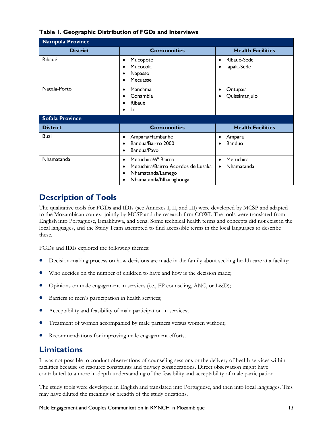| <b>Nampula Province</b> |                                                                                                                                                 |                                                          |  |  |
|-------------------------|-------------------------------------------------------------------------------------------------------------------------------------------------|----------------------------------------------------------|--|--|
| <b>District</b>         | <b>Communities</b>                                                                                                                              | <b>Health Facilities</b>                                 |  |  |
| Ribaué                  | Mucopote<br>$\bullet$<br>Mucocola<br>$\bullet$<br>Napasso<br>٠<br>Mecuasse<br>$\bullet$                                                         | Ribaué-Sede<br>$\bullet$<br>lapala-Sede<br>٠             |  |  |
| Nacala-Porto            | Mandama<br>$\bullet$<br>Conambia<br>$\bullet$<br>Ribaué<br>$\bullet$<br>Lili                                                                    | Ontupaia<br>٠<br>Quissimanjulo                           |  |  |
| <b>Sofala Province</b>  |                                                                                                                                                 |                                                          |  |  |
| <b>District</b>         | <b>Communities</b>                                                                                                                              | <b>Health Facilities</b>                                 |  |  |
| <b>Buzi</b>             | Ampara/Hambanhe<br>$\bullet$<br>Bandua/Bairro 2000<br>$\bullet$<br>Bandua/Pavo                                                                  | Ampara<br>٠<br>Banduo                                    |  |  |
| Nhamatanda              | Metuchira/6° Bairro<br>$\bullet$<br>Metuchira/Bairro Acordos de Lusaka<br>$\bullet$<br>Nhamatanda/Lamego<br>$\bullet$<br>Nhamatanda/Nharughonga | Metuchira<br>$\bullet$<br><b>Nhamatanda</b><br>$\bullet$ |  |  |

#### **Table 1. Geographic Distribution of FGDs and Interviews**

## <span id="page-12-0"></span>**Description of Tools**

The qualitative tools for FGDs and IDIs (see Annexes I, II, and III) were developed by MCSP and adapted to the Mozambican context jointly by MCSP and the research firm COWI. The tools were translated from English into Portuguese, Emakhuwa, and Sena. Some technical health terms and concepts did not exist in the local languages, and the Study Team attempted to find accessible terms in the local languages to describe these.

FGDs and IDIs explored the following themes:

- Decision-making process on how decisions are made in the family about seeking health care at a facility;
- Who decides on the number of children to have and how is the decision made;
- Opinions on male engagement in services (i.e., FP counseling, ANC, or L&D);
- Barriers to men's participation in health services;
- Acceptability and feasibility of male participation in services;
- Treatment of women accompanied by male partners versus women without;
- Recommendations for improving male engagement efforts.

## <span id="page-12-1"></span>**Limitations**

It was not possible to conduct observations of counseling sessions or the delivery of health services within facilities because of resource constraints and privacy considerations. Direct observation might have contributed to a more in-depth understanding of the feasibility and acceptability of male participation.

The study tools were developed in English and translated into Portuguese, and then into local languages. This may have diluted the meaning or breadth of the study questions.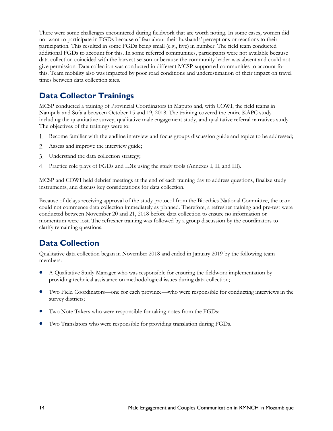There were some challenges encountered during fieldwork that are worth noting. In some cases, women did not want to participate in FGDs because of fear about their husbands' perceptions or reactions to their participation. This resulted in some FGDs being small (e.g., five) in number. The field team conducted additional FGDs to account for this. In some referred communities, participants were not available because data collection coincided with the harvest season or because the community leader was absent and could not give permission. Data collection was conducted in different MCSP-supported communities to account for this. Team mobility also was impacted by poor road conditions and underestimation of their impact on travel times between data collection sites.

## <span id="page-13-0"></span>**Data Collector Trainings**

MCSP conducted a training of Provincial Coordinators in Maputo and, with COWI, the field teams in Nampula and Sofala between October 15 and 19, 2018. The training covered the entire KAPC study including the quantitative survey, qualitative male engagement study, and qualitative referral narratives study. The objectives of the trainings were to:

- 1. Become familiar with the endline interview and focus groups discussion guide and topics to be addressed;
- Assess and improve the interview guide;
- Understand the data collection strategy;
- Practice role plays of FGDs and IDIs using the study tools (Annexes I, II, and III).

MCSP and COWI held debrief meetings at the end of each training day to address questions, finalize study instruments, and discuss key considerations for data collection.

Because of delays receiving approval of the study protocol from the Bioethics National Committee, the team could not commence data collection immediately as planned. Therefore, a refresher training and pre-test were conducted between November 20 and 21, 2018 before data collection to ensure no information or momentum were lost. The refresher training was followed by a group discussion by the coordinators to clarify remaining questions.

## <span id="page-13-1"></span>**Data Collection**

Qualitative data collection began in November 2018 and ended in January 2019 by the following team members:

- A Qualitative Study Manager who was responsible for ensuring the fieldwork implementation by providing technical assistance on methodological issues during data collection;
- Two Field Coordinators—one for each province—who were responsible for conducting interviews in the survey districts;
- Two Note Takers who were responsible for taking notes from the FGDs;
- <span id="page-13-2"></span>• Two Translators who were responsible for providing translation during FGDs.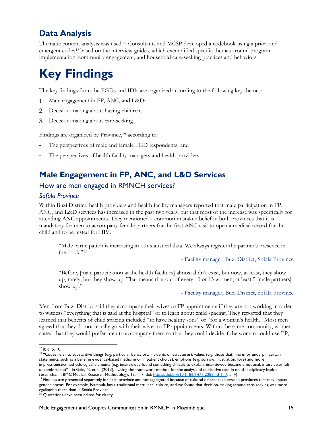## **Data Analysis**

Thematic content analysis was used.[17](#page-14-2) Consultants and MCSP developed a codebook using a priori and emergent codes[18](#page-14-3) based on the interview guides, which exemplified specific themes around program implementation, community engagement, and household care-seeking practices and behaviors.

# <span id="page-14-0"></span>**Key Findings**

The key findings from the FGDs and IDIs are organized according to the following key themes:

- 1. Male engagement in FP, ANC, and L&D;
- Decision-making about having children;
- Decision-making about care-seeking.

Findings are organized by Province,<sup>[19](#page-14-4)</sup> according to:

- The perspectives of male and female FGD respondents; and
- The perspectives of health facility managers and health providers.

## <span id="page-14-1"></span>**Male Engagement in FP, ANC, and L&D Services**

### How are men engaged in RMNCH services?

#### *Sofala Province*

Within Buzi District, health providers and health facility managers reported that male participation in FP, ANC, and L&D services has increased in the past two years, but that most of the increase was specifically for attending ANC appointments. They mentioned a common mistaken belief in both provinces that it is mandatory for men to accompany female partners for the first ANC visit to open a medical record for the child and to be tested for HIV.

"Male participation is increasing in our statistical data. We always register the partner's presence in the book."[20](#page-14-5)

- Facility manager, Buzi District, Sofala Province

"Before, [male participation at the health facilities] almost didn't exist, but now, at least, they show up, rarely, but they show up. That means that out of every 10 or 15 women, at least 5 [male partners] show up."

- Facility manager, Buzi District, Sofala Province

Men from Buzi District said they accompany their wives to FP appointments if they are not working in order to witness "everything that is said at the hospital" or to learn about child spacing. They reported that they learned that benefits of child spacing included "to have healthy sons" or "for a woman's health." Most men agreed that they do not usually go with their wives to FP appointments. Within the same community, women stated that they would prefer men to accompany them so that they could decide if the woman could use FP,

l <sup>17</sup> Ibid, p. 10.

<span id="page-14-3"></span><span id="page-14-2"></span><sup>&</sup>lt;sup>18</sup> "Codes refer to substantive things (e.g. particular behaviors, incidents or structures), values (e.g. those that inform or underpin certain statements, such as a belief in evidence-based medicine or in patient choice), emotions (e.g. sorrow, frustration, love) and more impressionistic/methodological elements (e.g. interviewee found something difficult to explain, interviewee became emotional, interviewer felt uncomfortable)" - in Gale, N. et al. (2013), «Using the framework method for the analysis of qualitative data in multi-disciplinary health research», in BMC Medical Research Methodology, 13: 117. doi: [https://doi.org/10.1186/1471-2288-13-117,](https://doi.org/10.1186/1471-2288-13-117) p. 4).

<span id="page-14-4"></span><sup>&</sup>lt;sup>19</sup> Findings are presented separately for each province and not aggregated because of cultural differences between provinces that may impact gender norms. For example, Nampula has a traditional matrilineal culture, and we found that decision-making around care-seeking was more egalitarian there than in Sofala Province.

<span id="page-14-5"></span> $^{20}$  Quotations have been edited for clarity.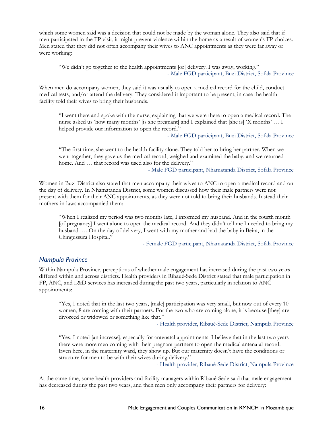which some women said was a decision that could not be made by the woman alone. They also said that if men participated in the FP visit, it might prevent violence within the home as a result of women's FP choices. Men stated that they did not often accompany their wives to ANC appointments as they were far away or were working:

"We didn't go together to the health appointments [or] delivery. I was away, working." - Male FGD participant, Buzi District, Sofala Province

When men do accompany women, they said it was usually to open a medical record for the child, conduct medical tests, and/or attend the delivery. They considered it important to be present, in case the health facility told their wives to bring their husbands.

"I went there and spoke with the nurse, explaining that we were there to open a medical record. The nurse asked us 'how many months' [is she pregnant] and I explained that [she is] 'X months' ... I helped provide our information to open the record."

- Male FGD participant, Buzi District, Sofala Province

"The first time, she went to the health facility alone. They told her to bring her partner. When we went together, they gave us the medical record, weighed and examined the baby, and we returned home. And ... that record was used also for the delivery."

- Male FGD participant, Nhamatanda District, Sofala Province

Women in Buzi District also stated that men accompany their wives to ANC to open a medical record and on the day of delivery. In Nhamatanda District, some women discussed how their male partners were not present with them for their ANC appointments, as they were not told to bring their husbands. Instead their mothers-in-laws accompanied them:

"When I realized my period was two months late, I informed my husband. And in the fourth month [of pregnancy] I went alone to open the medical record. And they didn't tell me I needed to bring my husband. … On the day of delivery, I went with my mother and had the baby in Beira, in the Chingussura Hospital."

- Female FGD participant, Nhamatanda District, Sofala Province

#### *Nampula Province*

Within Nampula Province, perceptions of whether male engagement has increased during the past two years differed within and across districts. Health providers in Ribaué-Sede District stated that male participation in FP, ANC, and L&D services has increased during the past two years, particularly in relation to ANC appointments:

"Yes, I noted that in the last two years, [male] participation was very small, but now out of every 10 women, 8 are coming with their partners. For the two who are coming alone, it is because [they] are divorced or widowed or something like that."

- Health provider, Ribaué-Sede District, Nampula Province

"Yes, I noted [an increase], especially for antenatal appointments. I believe that in the last two years there were more men coming with their pregnant partners to open the medical antenatal record. Even here, in the maternity ward, they show up. But our maternity doesn't have the conditions or structure for men to be with their wives during delivery."

- Health provider, Ribaué-Sede District, Nampula Province

At the same time, some health providers and facility managers within Ribaué-Sede said that male engagement has decreased during the past two years, and then men only accompany their partners for delivery: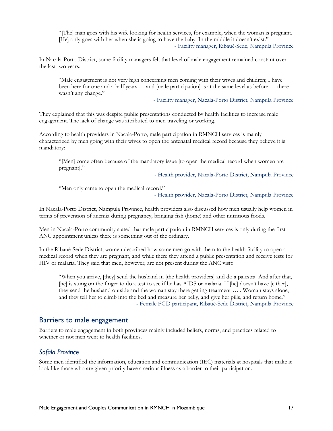"[The] man goes with his wife looking for health services, for example, when the woman is pregnant. [He] only goes with her when she is going to have the baby. In the middle it doesn't exist." - Facility manager, Ribaué-Sede, Nampula Province

In Nacala-Porto District, some facility managers felt that level of male engagement remained constant over the last two years.

"Male engagement is not very high concerning men coming with their wives and children; I have been here for one and a half years … and [male participation] is at the same level as before … there wasn't any change."

- Facility manager, Nacala-Porto District, Nampula Province

They explained that this was despite public presentations conducted by health facilities to increase male engagement. The lack of change was attributed to men traveling or working.

According to health providers in Nacala-Porto, male participation in RMNCH services is mainly characterized by men going with their wives to open the antenatal medical record because they believe it is mandatory:

"[Men] come often because of the mandatory issue [to open the medical record when women are pregnant]."

- Health provider, Nacala-Porto District, Nampula Province

"Men only came to open the medical record."

- Health provider, Nacala-Porto District, Nampula Province

In Nacala-Porto District, Nampula Province, health providers also discussed how men usually help women in terms of prevention of anemia during pregnancy, bringing fish (home) and other nutritious foods.

Men in Nacala-Porto community stated that male participation in RMNCH services is only during the first ANC appointment unless there is something out of the ordinary.

In the Ribaué-Sede District, women described how some men go with them to the health facility to open a medical record when they are pregnant, and while there they attend a public presentation and receive tests for HIV or malaria. They said that men, however, are not present during the ANC visit:

"When you arrive, [they] send the husband in [the health providers] and do a palestra. And after that, [he] is stung on the finger to do a test to see if he has AIDS or malaria. If [he] doesn't have [either], they send the husband outside and the woman stay there getting treatment … . Woman stays alone, and they tell her to climb into the bed and measure her belly, and give her pills, and return home." - Female FGD participant, Ribaué-Sede District, Nampula Province

### Barriers to male engagement

Barriers to male engagement in both provinces mainly included beliefs, norms, and practices related to whether or not men went to health facilities.

#### *Sofala Province*

Some men identified the information, education and communication (IEC) materials at hospitals that make it look like those who are given priority have a serious illness as a barrier to their participation.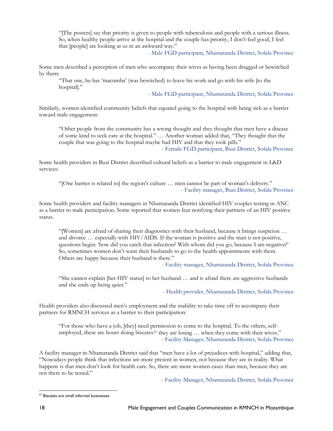"[The posters] say that priority is given to people with tuberculosis and people with a serious illness. So, when healthy people arrive at the hospital and the couple has priority, I don't feel good, I feel that [people] are looking at us in an awkward way."

- Male FGD participant, Nhamatanda District, Sofala Province

Some men described a perception of men who accompany their wives as having been drugged or bewitched by them:

"That one, he has 'macumba' (was bewitched) to leave his work and go with his wife [to the hospital]."

- Male FGD participant, Nhamatanda District, Sofala Province

Similarly, women identified community beliefs that equated going to the hospital with being sick as a barrier toward male engagement:

"Other people from the community has a wrong thought and they thought that men have a disease of some kind to seek care at the hospital." … Another woman added that, "They thought that the couple that was going to the hospital maybe had HIV and that they took pills."

- Female FGD participant, Buzi District, Sofala Province

Some health providers in Buzi District described cultural beliefs as a barrier to male engagement in L&D services:

"[One barrier is related to] the region's culture … men cannot be part of woman's delivery." - Facility manager, Buzi District, Sofala Province

Some health providers and facility managers in Nhamatanda District identified HIV couples testing in ANC as a barrier to male participation. Some reported that women fear notifying their partners of an HIV positive status.

"[Women] are afraid of sharing their diagnostics with their husband, because it brings suspicion … and divorce … especially with HIV/AIDS. If the woman is positive and the man is not positive, questions begin: 'how did you catch that infection? With whom did you go, because I am negative?' So, sometimes women don't want their husbands to go to the health appointments with them. Others are happy because their husband is there."

- Facility manager, Nhamatanda District, Sofala Province

"She cannot explain [her HIV status] to her husband … and is afraid there are aggressive husbands and she ends up being quiet."

- Health provider, Nhamatanda District, Sofala Province

Health providers also discussed men's employment and the inability to take time off to accompany their partners for RMNCH services as a barrier to their participation:

"For those who have a job, [they] need permission to come to the hospital. To the others, self-employed, these are hours doing biscates<sup>[21](#page-17-0)</sup> they are losing ... when they come with their wives." - Facility Manager, Nhamatanda District, Sofala Province

A facility manager in Nhamatanda District said that "men have a lot of prejudices with hospital," adding that, "Nowadays people think that infections are more present in women, not because they are in reality. What happens is that men don't look for health care. So, there are more women cases than men, because they are not there to be tested."

- Facility Manager, Nhamatanda District, Sofala Province

<span id="page-17-0"></span>l <sup>21</sup> Biscates are small informal businesses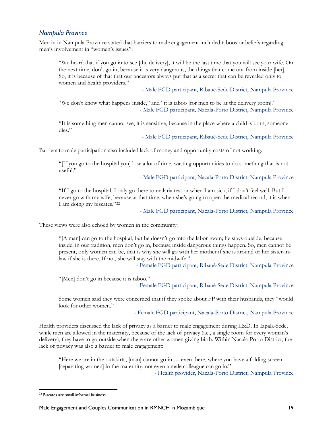### *Nampula Province*

Men in in Nampula Province stated that barriers to male engagement included taboos or beliefs regarding men's involvement in "women's issues":

"We heard that if you go in to see [the delivery], it will be the last time that you will see your wife. On the next time, don't go in, because it is very dangerous, the things that come out from inside [her]. So, it is because of that that our ancestors always put that as a secret that can be revealed only to women and health providers."

- Male FGD participant, Ribaué-Sede District, Nampula Province

"We don't know what happens inside," and "it is taboo [for men to be at the delivery room]." - Male FGD participant, Nacala-Porto District, Nampula Province

"It is something men cannot see, it is sensitive, because in the place where a child is born, someone dies."

- Male FGD participant, Ribaué-Sede District, Nampula Province

Barriers to male participation also included lack of money and opportunity costs of not working.

"[If you go to the hospital you] lose a lot of time, wasting opportunities to do something that is not useful."

- Male FGD participant, Nacala-Porto District, Nampula Province

"If I go to the hospital, I only go there to malaria test or when I am sick, if I don't feel well. But I never go with my wife, because at that time, when she's going to open the medical record, it is when I am doing my biscates."[22](#page-18-0)

- Male FGD participant, Nacala-Porto District, Nampula Province

These views were also echoed by women in the community:

"[A man] can go to the hospital, but he doesn't go into the labor room; he stays outside, because inside, in our tradition, men don't go in, because inside dangerous things happen. So, men cannot be present, only women can be, that is why she will go with her mother if she is around or her sister-inlaw if she is there. If not, she will stay with the midwife."

- Female FGD participant, Ribaué-Sede District, Nampula Province

"[Men] don't go in because it is taboo."

- Female FGD participant, Ribaué-Sede District, Nampula Province

Some women said they were concerned that if they spoke about FP with their husbands, they "would look for other women."

- Female FGD participant, Nacala-Porto District, Nampula Province

Health providers discussed the lack of privacy as a barrier to male engagement during L&D. In Iapala-Sede, while men are allowed in the maternity, because of the lack of privacy (i.e., a single room for every woman's delivery), they have to go outside when there are other women giving birth. Within Nacala-Porto District, the lack of privacy was also a barrier to male engagement:

"Here we are in the outskirts, [man] cannot go in … even there, where you have a folding screen [separating women] in the maternity, not even a male colleague can go in."

- Health provider, Nacala-Porto District, Nampula Province

<span id="page-18-0"></span> $\overline{a}$ <sup>22</sup> Biscates are small informal business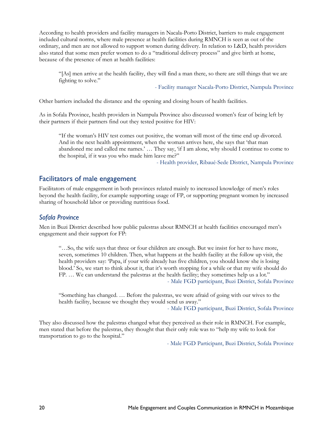According to health providers and facility managers in Nacala-Porto District, barriers to male engagement included cultural norms, where male presence at health facilities during RMNCH is seen as out of the ordinary, and men are not allowed to support women during delivery. In relation to L&D, health providers also stated that some men prefer women to do a "traditional delivery process" and give birth at home, because of the presence of men at health facilities:

"[As] men arrive at the health facility, they will find a man there, so there are still things that we are fighting to solve."

- Facility manager Nacala-Porto District, Nampula Province

Other barriers included the distance and the opening and closing hours of health facilities.

As in Sofala Province, health providers in Nampula Province also discussed women's fear of being left by their partners if their partners find out they tested positive for HIV:

"If the woman's HIV test comes out positive, the woman will most of the time end up divorced. And in the next health appointment, when the woman arrives here, she says that 'that man abandoned me and called me names.' ... They say, 'if I am alone, why should I continue to come to the hospital, if it was you who made him leave me?"

- Health provider, Ribaué-Sede District, Nampula Province

### Facilitators of male engagement

Facilitators of male engagement in both provinces related mainly to increased knowledge of men's roles beyond the health facility, for example supporting usage of FP, or supporting pregnant women by increased sharing of household labor or providing nutritious food.

#### *Sofala Province*

Men in Buzi District described how public palestras about RMNCH at health facilities encouraged men's engagement and their support for FP:

"…So, the wife says that three or four children are enough. But we insist for her to have more, seven, sometimes 10 children. Then, what happens at the health facility at the follow up visit, the health providers say: 'Papa, if your wife already has five children, you should know she is losing blood.' So, we start to think about it, that it's worth stopping for a while or that my wife should do FP. … We can understand the palestras at the health facility; they sometimes help us a lot." - Male FGD participant, Buzi District, Sofala Province

"Something has changed. … Before the palestras, we were afraid of going with our wives to the health facility, because we thought they would send us away."

- Male FGD participant, Buzi District, Sofala Province

They also discussed how the palestras changed what they perceived as their role in RMNCH. For example, men stated that before the palestras, they thought that their only role was to "help my wife to look for transportation to go to the hospital."

- Male FGD Participant, Buzi District, Sofala Province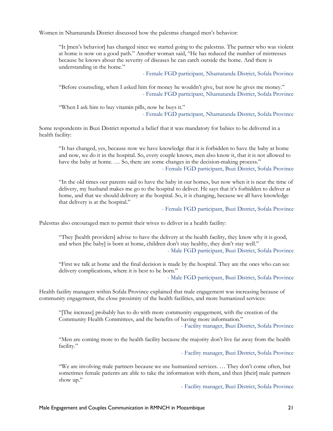Women in Nhamatanda District discussed how the palestras changed men's behavior:

"It [men's behavior] has changed since we started going to the palestras. The partner who was violent at home is now on a good path." Another woman said, "He has reduced the number of mistresses because he knows about the severity of diseases he can catch outside the home. And there is understanding in the home."

- Female FGD participant, Nhamatanda District, Sofala Province

"Before counseling, when I asked him for money he wouldn't give, but now he gives me money." - Female FGD participant, Nhamatanda District, Sofala Province

"When I ask him to buy vitamin pills, now he buys it." - Female FGD participant, Nhamatanda District, Sofala Province

Some respondents in Buzi District reported a belief that it was mandatory for babies to be delivered in a health facility:

"It has changed, yes, because now we have knowledge that it is forbidden to have the baby at home and now, we do it in the hospital. So, every couple knows, men also know it, that it is not allowed to have the baby at home. ... So, there are some changes in the decision-making process." - Female FGD participant, Buzi District, Sofala Province

"In the old times our parents said to have the baby in our homes, but now when it is near the time of delivery, my husband makes me go to the hospital to deliver. He says that it's forbidden to deliver at home, and that we should delivery at the hospital. So, it is changing, because we all have knowledge that delivery is at the hospital."

- Female FGD participant, Buzi District, Sofala Province

Palestras also encouraged men to permit their wives to deliver in a health facility:

"They [health providers] advise to have the delivery at the health facility, they know why it is good, and when [the baby] is born at home, children don't stay healthy, they don't stay well." - Male FGD participant, Buzi District, Sofala Province

"First we talk at home and the final decision is made by the hospital. They are the ones who can see delivery complications, where it is best to be born."

- Male FGD participant, Buzi District, Sofala Province

Health facility managers within Sofala Province explained that male engagement was increasing because of community engagement, the close proximity of the health facilities, and more humanized services:

"[The increase] probably has to do with more community engagement, with the creation of the Community Health Committees, and the benefits of having more information."

- Facility manager, Buzi District, Sofala Province

"Men are coming more to the health facility because the majority don't live far away from the health facility."

- Facility manager, Buzi District, Sofala Province

"We are involving male partners because we use humanized services. … They don't come often, but sometimes female patients are able to take the information with them, and then [their] male partners show up."

- Facility manager, Buzi District, Sofala Province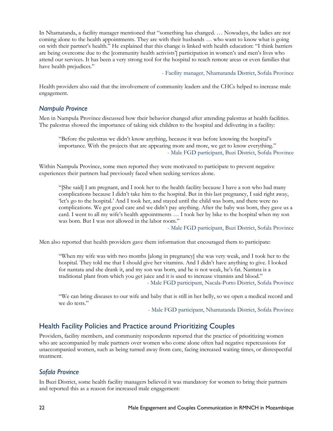In Nhamatanda, a facility manager mentioned that "something has changed. … Nowadays, the ladies are not coming alone to the health appointments. They are with their husbands … who want to know what is going on with their partner's health." He explained that this change is linked with health education: "I think barriers are being overcome due to the [community health activists'] participation in women's and men's lives who attend our services. It has been a very strong tool for the hospital to reach remote areas or even families that have health prejudices."

- Facility manager, Nhamatanda District, Sofala Province

Health providers also said that the involvement of community leaders and the CHCs helped to increase male engagement.

#### *Nampula Province*

Men in Nampula Province discussed how their behavior changed after attending palestras at health facilities. The palestras showed the importance of taking sick children to the hospital and delivering in a facility:

"Before the palestras we didn't know anything, because it was before knowing the hospital's importance. With the projects that are appearing more and more, we get to know everything." - Male FGD participant, Buzi District, Sofala Province

Within Nampula Province, some men reported they were motivated to participate to prevent negative experiences their partners had previously faced when seeking services alone.

"[She said] I am pregnant, and I took her to the health facility because I have a son who had many complications because I didn't take him to the hospital. But in this last pregnancy, I said right away, 'let's go to the hospital.' And I took her, and stayed until the child was born, and there were no complications. We got good care and we didn't pay anything. After the baby was born, they gave us a card. I went to all my wife's health appointments … I took her by bike to the hospital when my son was born. But I was not allowed in the labor room."

- Male FGD participant, Buzi District, Sofala Province

Men also reported that health providers gave them information that encouraged them to participate:

"When my wife was with two months [along in pregnancy] she was very weak, and I took her to the hospital. They told me that I should give her vitamins. And I didn't have anything to give. I looked for nantata and she drank it, and my son was born, and he is not weak, he's fat. Nantata is a traditional plant from which you get juice and it is used to increase vitamins and blood." - Male FGD participant, Nacala-Porto District, Sofala Province

"We can bring diseases to our wife and baby that is still in her belly, so we open a medical record and we do tests."

- Male FGD participant, Nhamatanda District, Sofala Province

### Health Facility Policies and Practice around Prioritizing Couples

Providers, facility members, and community respondents reported that the practice of prioritizing women who are accompanied by male partners over women who come alone often had negative repercussions for unaccompanied women, such as being turned away from care, facing increased waiting times, or disrespectful treatment.

### *Sofala Province*

In Buzi District, some health facility managers believed it was mandatory for women to bring their partners and reported this as a reason for increased male engagement: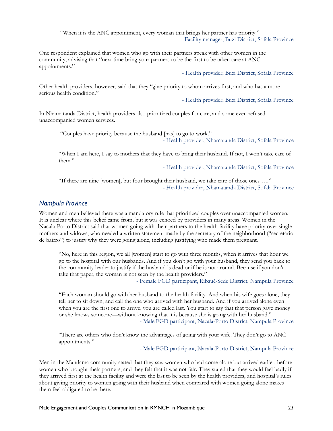"When it is the ANC appointment, every woman that brings her partner has priority." - Facility manager, Buzi District, Sofala Province

One respondent explained that women who go with their partners speak with other women in the community, advising that "next time bring your partners to be the first to be taken care at ANC appointments."

- Health provider, Buzi District, Sofala Province

Other health providers, however, said that they "give priority to whom arrives first, and who has a more serious health condition."

- Health provider, Buzi District, Sofala Province

In Nhamatanda District, health providers also prioritized couples for care, and some even refused unaccompanied women services.

"Couples have priority because the husband [has] to go to work." - Health provider, Nhamatanda District, Sofala Province

"When I am here, I say to mothers that they have to bring their husband. If not, I won't take care of them."

- Health provider, Nhamatanda District, Sofala Province

"If there are nine [women], but four brought their husband, we take care of those ones …." - Health provider, Nhamatanda District, Sofala Province

### *Nampula Province*

Women and men believed there was a mandatory rule that prioritized couples over unaccompanied women. It is unclear where this belief came from, but it was echoed by providers in many areas. Women in the Nacala-Porto District said that women going with their partners to the health facility have priority over single mothers and widows, who needed a written statement made by the secretary of the neighborhood ("secretário de bairro") to justify why they were going alone, including justifying who made them pregnant.

"No, here in this region, we all [women] start to go with three months, when it arrives that hour we go to the hospital with our husbands. And if you don't go with your husband, they send you back to the community leader to justify if the husband is dead or if he is not around. Because if you don't take that paper, the woman is not seen by the health providers."

- Female FGD participant, Ribaué-Sede District, Nampula Province

"Each woman should go with her husband to the health facility. And when his wife goes alone, they tell her to sit down, and call the one who arrived with her husband. And if you arrived alone even when you are the first one to arrive, you are called last. You start to say that that person gave money or she knows someone—without knowing that it is because she is going with her husband." - Male FGD participant, Nacala-Porto District, Nampula Province

"There are others who don't know the advantages of going with your wife. They don't go to ANC appointments."

- Male FGD participant, Nacala-Porto District, Nampula Province

Men in the Mandama community stated that they saw women who had come alone but arrived earlier, before women who brought their partners, and they felt that it was not fair. They stated that they would feel badly if they arrived first at the health facility and were the last to be seen by the health providers, and hospital's rules about giving priority to women going with their husband when compared with women going alone makes them feel obligated to be there.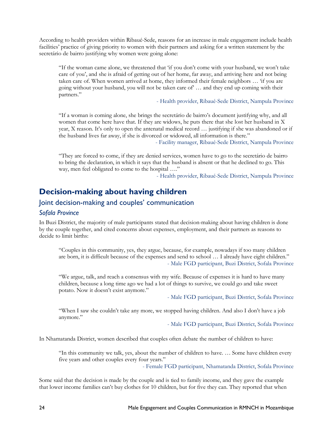According to health providers within Ribaué-Sede, reasons for an increase in male engagement include health facilities' practice of giving priority to women with their partners and asking for a written statement by the secretário de bairro justifying why women were going alone:

"If the woman came alone, we threatened that 'if you don't come with your husband, we won't take care of you', and she is afraid of getting out of her home, far away, and arriving here and not being taken care of. When women arrived at home, they informed their female neighbors ... 'if you are going without your husband, you will not be taken care of' … and they end up coming with their partners."

- Health provider, Ribaué-Sede District, Nampula Province

"If a woman is coming alone, she brings the secretário de bairro's document justifying why, and all women that come here have that. If they are widows, he puts there that she lost her husband in X year, X reason. It's only to open the antenatal medical record … justifying if she was abandoned or if the husband lives far away, if she is divorced or widowed, all information is there."

- Facility manager, Ribaué-Sede District, Nampula Province

"They are forced to come, if they are denied services, women have to go to the secretário de bairro to bring the declaration, in which it says that the husband is absent or that he declined to go. This way, men feel obligated to come to the hospital …."

- Health provider, Ribaué-Sede District, Nampula Province

### <span id="page-23-0"></span>**Decision-making about having children**

### Joint decision-making and couples' communication

#### *Sofala Province*

In Buzi District, the majority of male participants stated that decision-making about having children is done by the couple together, and cited concerns about expenses, employment, and their partners as reasons to decide to limit births:

"Couples in this community, yes, they argue, because, for example, nowadays if too many children are born, it is difficult because of the expenses and send to school … I already have eight children." - Male FGD participant, Buzi District, Sofala Province

"We argue, talk, and reach a consensus with my wife. Because of expenses it is hard to have many children, because a long time ago we had a lot of things to survive, we could go and take sweet potato. Now it doesn't exist anymore."

- Male FGD participant, Buzi District, Sofala Province

"When I saw she couldn't take any more, we stopped having children. And also I don't have a job anymore."

- Male FGD participant, Buzi District, Sofala Province

In Nhamatanda District, women described that couples often debate the number of children to have:

"In this community we talk, yes, about the number of children to have. … Some have children every five years and other couples every four years."

- Female FGD participant, Nhamatanda District, Sofala Province

Some said that the decision is made by the couple and is tied to family income, and they gave the example that lower income families can't buy clothes for 10 children, but for five they can. They reported that when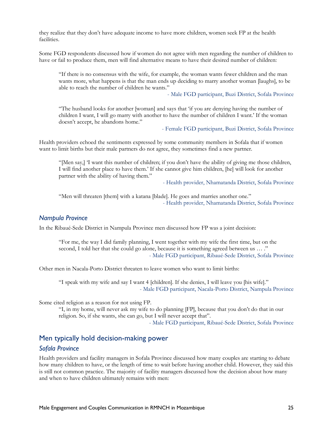they realize that they don't have adequate income to have more children, women seek FP at the health facilities.

Some FGD respondents discussed how if women do not agree with men regarding the number of children to have or fail to produce them, men will find alternative means to have their desired number of children:

"If there is no consensus with the wife, for example, the woman wants fewer children and the man wants more, what happens is that the man ends up deciding to marry another woman [laughs], to be able to reach the number of children he wants."

- Male FGD participant, Buzi District, Sofala Province

"The husband looks for another [woman] and says that 'if you are denying having the number of children I want, I will go marry with another to have the number of children I want.' If the woman doesn't accept, he abandons home."

- Female FGD participant, Buzi District, Sofala Province

Health providers echoed the sentiments expressed by some community members in Sofala that if women want to limit births but their male partners do not agree, they sometimes find a new partner.

"[Men say,] 'I want this number of children; if you don't have the ability of giving me those children, I will find another place to have them.' If she cannot give him children, [he] will look for another partner with the ability of having them."

- Health provider, Nhamatanda District, Sofala Province

"Men will threaten [them] with a katana [blade]. He goes and marries another one." - Health provider, Nhamatanda District, Sofala Province

#### *Nampula Province*

In the Ribaué-Sede District in Nampula Province men discussed how FP was a joint decision:

"For me, the way I did family planning, I went together with my wife the first time, but on the second, I told her that she could go alone, because it is something agreed between us … ." - Male FGD participant, Ribaué-Sede District, Sofala Province

Other men in Nacala-Porto District threaten to leave women who want to limit births:

"I speak with my wife and say I want 4 [children]. If she denies, I will leave you [his wife]." - Male FGD participant, Nacala-Porto District, Nampula Province

Some cited religion as a reason for not using FP.

"I, in my home, will never ask my wife to do planning [FP], because that you don't do that in our religion. So, if she wants, she can go, but I will never accept that".

- Male FGD participant, Ribaué-Sede District, Sofala Province

### Men typically hold decision-making power

#### *Sofala Province*

Health providers and facility managers in Sofala Province discussed how many couples are starting to debate how many children to have, or the length of time to wait before having another child. However, they said this is still not common practice. The majority of facility managers discussed how the decision about how many and when to have children ultimately remains with men: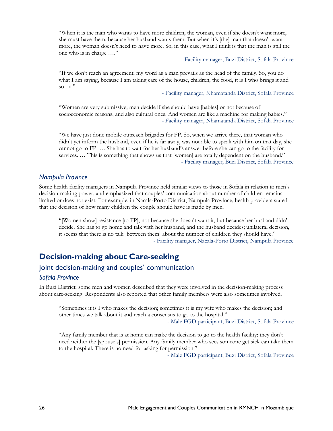"When it is the man who wants to have more children, the woman, even if she doesn't want more, she must have them, because her husband wants them. But when it's [the] man that doesn't want more, the woman doesn't need to have more. So, in this case, what I think is that the man is still the one who is in charge …."

- Facility manager, Buzi District, Sofala Province

"If we don't reach an agreement, my word as a man prevails as the head of the family. So, you do what I am saying, because I am taking care of the house, children, the food, it is I who brings it and so on."

- Facility manager, Nhamatanda District, Sofala Province

"Women are very submissive; men decide if she should have [babies] or not because of socioeconomic reasons, and also cultural ones. And women are like a machine for making babies." - Facility manager, Nhamatanda District, Sofala Province

"We have just done mobile outreach brigades for FP. So, when we arrive there, that woman who didn't yet inform the husband, even if he is far away, was not able to speak with him on that day, she cannot go to FP. … She has to wait for her husband's answer before she can go to the facility for services. ... This is something that shows us that [women] are totally dependent on the husband." - Facility manager, Buzi District, Sofala Province

#### *Nampula Province*

Some health facility managers in Nampula Province held similar views to those in Sofala in relation to men's decision-making power, and emphasized that couples' communication about number of children remains limited or does not exist. For example, in Nacala-Porto District, Nampula Province, health providers stated that the decision of how many children the couple should have is made by men.

"[Women show] resistance [to FP], not because she doesn't want it, but because her husband didn't decide. She has to go home and talk with her husband, and the husband decides; unilateral decision, it seems that there is no talk [between them] about the number of children they should have." - Facility manager, Nacala-Porto District, Nampula Province

## <span id="page-25-0"></span>**Decision-making about Care-seeking**

### Joint decision-making and couples' communication

#### *Sofala Province*

In Buzi District, some men and women described that they were involved in the decision-making process about care-seeking. Respondents also reported that other family members were also sometimes involved.

"Sometimes it is I who makes the decision; sometimes it is my wife who makes the decision; and other times we talk about it and reach a consensus to go to the hospital."

- Male FGD participant, Buzi District, Sofala Province

"Any family member that is at home can make the decision to go to the health facility; they don't need neither the [spouse's] permission. Any family member who sees someone get sick can take them to the hospital. There is no need for asking for permission."

- Male FGD participant, Buzi District, Sofala Province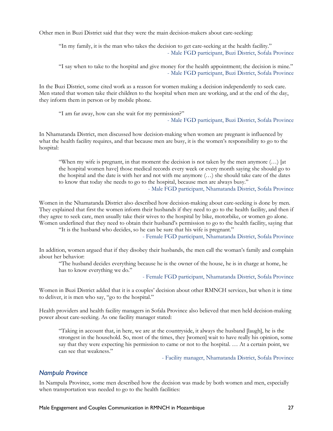Other men in Buzi District said that they were the main decision-makers about care-seeking:

"In my family, it is the man who takes the decision to get care-seeking at the health facility." - Male FGD participant, Buzi District, Sofala Province

"I say when to take to the hospital and give money for the health appointment; the decision is mine." - Male FGD participant, Buzi District, Sofala Province

In the Buzi District, some cited work as a reason for women making a decision independently to seek care. Men stated that women take their children to the hospital when men are working, and at the end of the day, they inform them in person or by mobile phone.

"I am far away, how can she wait for my permission?"

- Male FGD participant, Buzi District, Sofala Province

In Nhamatanda District, men discussed how decision-making when women are pregnant is influenced by what the health facility requires, and that because men are busy, it is the women's responsibility to go to the hospital:

"When my wife is pregnant, in that moment the decision is not taken by the men anymore  $(\dots)$  [at the hospital women have] those medical records every week or every month saying she should go to the hospital and the date is with her and not with me anymore (…) she should take care of the dates to know that today she needs to go to the hospital, because men are always busy."

- Male FGD participant, Nhamatanda District, Sofala Province

Women in the Nhamatanda District also described how decision-making about care-seeking is done by men. They explained that first the women inform their husbands if they need to go to the health facility, and then if they agree to seek care, men usually take their wives to the hospital by bike, motorbike, or women go alone. Women underlined that they need to obtain their husband's permission to go to the health facility, saying that

"It is the husband who decides, so he can be sure that his wife is pregnant."

- Female FGD participant, Nhamatanda District, Sofala Province

In addition, women argued that if they disobey their husbands, the men call the woman's family and complain about her behavior:

"The husband decides everything because he is the owner of the house, he is in charge at home, he has to know everything we do."

- Female FGD participant, Nhamatanda District, Sofala Province

Women in Buzi District added that it is a couples' decision about other RMNCH services, but when it is time to deliver, it is men who say, "go to the hospital."

Health providers and health facility managers in Sofala Province also believed that men held decision-making power about care-seeking. As one facility manager stated:

"Taking in account that, in here, we are at the countryside, it always the husband [laugh], he is the strongest in the household. So, most of the times, they [women] wait to have really his opinion, some say that they were expecting his permission to came or not to the hospital. … At a certain point, we can see that weakness."

- Facility manager, Nhamatanda District, Sofala Province

#### *Nampula Province*

In Nampula Province, some men described how the decision was made by both women and men, especially when transportation was needed to go to the health facilities: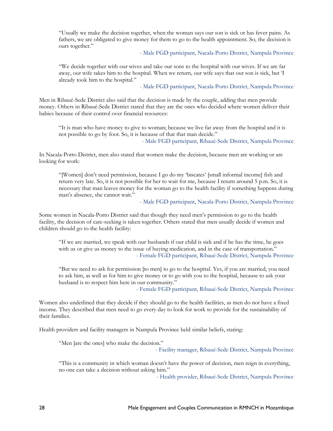"Usually we make the decision together, when the woman says our son is sick or has fever pains. As fathers, we are obligated to give money for them to go to the health appointment. So, the decision is ours together."

- Male FGD participant, Nacala-Porto District, Nampula Province

"We decide together with our wives and take our sons to the hospital with our wives. If we are far away, our wife takes him to the hospital. When we return, our wife says that our son is sick, but 'I already took him to the hospital."

- Male FGD participant, Nacala-Porto District, Nampula Province

Men in Ribaué-Sede District also said that the decision is made by the couple, adding that men provide money. Others in Ribaué-Sede District stated that they are the ones who decided where women deliver their babies because of their control over financial resources:

"It is man who have money to give to woman; because we live far away from the hospital and it is not possible to go by foot. So, it is because of that that man decide."

- Male FGD participant, Ribaué-Sede District, Nampula Province

In Nacala-Porto District, men also stated that women make the decision, because men are working or are looking for work:

"[Women] don't need permission, because I go do my 'biscates' [small informal income] fish and return very late. So, it is not possible for her to wait for me, because I return around 5 p.m. So, it is necessary that man leaves money for the woman go to the health facility if something happens during man's absence, she cannot wait."

- Male FGD participant, Nacala-Porto District, Nampula Province

Some women in Nacala-Porto District said that though they need men's permission to go to the health facility, the decision of care-seeking is taken together. Others stated that men usually decide if women and children should go to the health facility:

"If we are married, we speak with our husbands if our child is sick and if he has the time, he goes with us or give us money to the issue of buying medication, and in the case of transportation." - Female FGD participant, Ribaué-Sede District, Nampula Province

"But we need to ask for permission [to men] to go to the hospital. Yes, if you are married, you need to ask him, as well as for him to give money or to go with you to the hospital, because to ask your husband is to respect him here in our community."

- Female FGD participant, Ribaué-Sede District, Nampula Province

Women also underlined that they decide if they should go to the health facilities, as men do not have a fixed income. They described that men need to go every day to look for work to provide for the sustainability of their families.

Health providers and facility managers in Nampula Province held similar beliefs, stating:

"Men [are the ones] who make the decision."

- Facility manager, Ribaué-Sede District, Nampula Province

"This is a community in which woman doesn't have the power of decision, men reign in everything, no one can take a decision without asking him."

- Health provider, Ribaué-Sede District, Nampula Province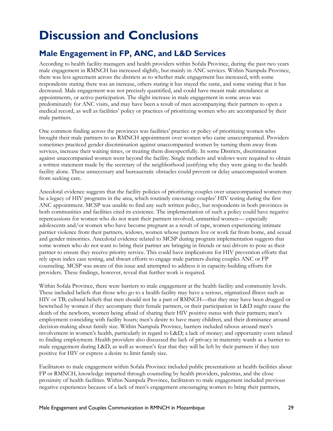# <span id="page-28-0"></span>**Discussion and Conclusions**

## <span id="page-28-1"></span>**Male Engagement in FP, ANC, and L&D Services**

According to health facility managers and health providers within Sofala Province, during the past two years male engagement in RMNCH has increased slightly, but mainly in ANC services. Within Nampula Province, there was less agreement across the districts as to whether male engagement has increased, with some respondents stating there was an increase, others stating it has stayed the same, and some stating that it has decreased. Male engagement was not precisely quantified, and could have meant male attendance at appointments, or active participation. The slight increase in male engagement in some areas was predominately for ANC visits, and may have been a result of men accompanying their partners to open a medical record, as well as facilities' policy or practices of prioritizing women who are accompanied by their male partners.

One common finding across the provinces was facilities' practice or policy of prioritizing women who brought their male partners to an RMNCH appointment over women who came unaccompanied. Providers sometimes practiced gender discrimination against unaccompanied women by turning them away from services, increase their waiting times, or treating them disrespectfully. In some Districts, discrimination against unaccompanied women went beyond the facility. Single mothers and widows were required to obtain a written statement made by the secretary of the neighborhood justifying why they were going to the health facility alone. These unnecessary and bureaucratic obstacles could prevent or delay unaccompanied women from seeking care.

Anecdotal evidence suggests that the facility policies of prioritizing couples over unaccompanied women may be a legacy of HIV programs in the area, which routinely encourage couples' HIV testing during the first ANC appointment. MCSP was unable to find any such written policy, but respondents in both provinces in both communities and facilities cited its existence. The implementation of such a policy could have negative repercussions for women who do not want their partners involved, unmarried women— especially adolescents and/or women who have become pregnant as a result of rape, women experiencing intimate partner violence from their partners, widows, women whose partners live or work far from home, and sexual and gender minorities. Anecdotal evidence related to MCSP during program implementation suggests that some women who do not want to bring their partner are bringing in friends or taxi drivers to pose as their partner to ensure they receive priority service. This could have implications for HIV prevention efforts that rely upon index case testing, and thwart efforts to engage male partners during couples ANC or FP counseling. MCSP was aware of this issue and attempted to address it in capacity-building efforts for providers. These findings, however, reveal that further work is required.

Within Sofala Province, there were barriers to male engagement at the health facility and community levels. These included beliefs that those who go to a health facility may have a serious, stigmatized illness such as HIV or TB; cultural beliefs that men should not be a part of RMNCH—that they may have been drugged or bewitched by women if they accompany their female partners, or their participation in L&D might cause the death of the newborn, women being afraid of sharing their HIV positive status with their partners; men's employment coinciding with facility hours; men's desire to have many children, and their dominance around decision-making about family size. Within Nampula Province, barriers included taboos around men's involvement in women's health, particularly in regard to L&D; a lack of money; and opportunity costs related to finding employment. Health providers also discussed the lack of privacy in maternity wards as a barrier to male engagement during L&D, as well as women's fear that they will be left by their partners if they test positive for HIV or express a desire to limit family size.

Facilitators to male engagement within Sofala Province included public presentations at health facilities about FP or RMNCH, knowledge imparted through counseling by health providers, palestras, and the close proximity of health facilities. Within Nampula Province, facilitators to male engagement included previous negative experiences because of a lack of men's engagement encouraging women to bring their partners,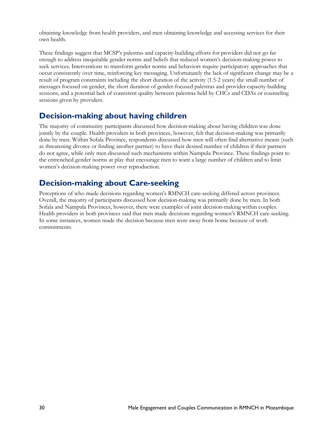obtaining knowledge from health providers, and men obtaining knowledge and accessing services for their own health.

These findings suggest that MCSP's palestras and capacity-building efforts for providers did not go far enough to address inequitable gender norms and beliefs that reduced women's decision-making power to seek services. Interventions to transform gender norms and behaviors require participatory approaches that occur consistently over time, reinforcing key messaging. Unfortunately the lack of significant change may be a result of program constraints including the short duration of the activity (1.5-2 years) the small number of messages focused on gender, the short duration of gender-focused palestras and provider capacity-building sessions, and a potential lack of consistent quality between palestras held by CHCs and CDAs or counseling sessions given by providers.

## <span id="page-29-0"></span>**Decision-making about having children**

The majority of community participants discussed how decision-making about having children was done jointly by the couple. Health providers in both provinces, however, felt that decision-making was primarily done by men. Within Sofala Province, respondents discussed how men will often find alternative means (such as threatening divorce or finding another partner) to have their desired number of children if their partners do not agree, while only men discussed such mechanisms within Nampula Province. These findings point to the entrenched gender norms at play that encourage men to want a large number of children and to limit women's decision-making power over reproduction.

## <span id="page-29-1"></span>**Decision-making about Care-seeking**

Perceptions of who made decisions regarding women's RMNCH care-seeking differed across provinces. Overall, the majority of participants discussed how decision-making was primarily done by men. In both Sofala and Nampula Provinces, however, there were examples of joint decision-making within couples. Health providers in both provinces said that men made decisions regarding women's RMNCH care-seeking. In some instances, women made the decision because men were away from home because of work commitments.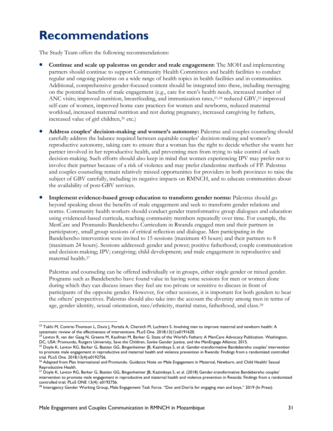# <span id="page-30-0"></span>**Recommendations**

The Study Team offers the following recommendations:

- **Continue and scale up palestras on gender and male engagement**: The MOH and implementing partners should continue to support Community Health Committees and health facilities to conduct regular and ongoing palestras on a wide range of health topics in health facilities and in communities. Additional, comprehensive gender-focused content should be integrated into these, including messaging on the potential benefits of male engagement (e.g., care for men's health needs, increased number of ANC visits; improved nutrition, breastfeeding, and immunization rates,<sup>[23](#page-30-1),[24](#page-30-2)</sup> reduced GBV,<sup>[25](#page-30-3)</sup> improved self-care of women, improved home care practices for women and newborns, reduced maternal workload, increased maternal nutrition and rest during pregnancy, increased caregiving by fathers, increased value of girl children,<sup>[26](#page-30-4)</sup> etc.)
- **Address couples' decision-making and women's autonomy:** Palestras and couples counseling should carefully address the balance required between equitable couples' decision-making and women's reproductive autonomy, taking care to ensure that a woman has the right to decide whether she wants her partner involved in her reproductive health, and preventing men from trying to take control of such decision-making. Such efforts should also keep in mind that women experiencing IPV may prefer not to involve their partner because of a risk of violence and may prefer clandestine methods of FP. Palestras and couples counseling remain relatively missed opportunities for providers in both provinces to raise the subject of GBV carefully, including its negative impacts on RMNCH, and to educate communities about the availability of post-GBV services.
- **Implement evidence-based group education to transform gender norms:** Palestras should go beyond speaking about the benefits of male engagement and seek to transform gender relations and norms. Community health workers should conduct gender transformative group dialogues and education using evidenced-based curricula, reaching community members repeatedly over time. For example, the MenCare and Promundo Bandebereho Curriculum in Rwanda engaged men and their partners in participatory, small group sessions of critical reflection and dialogue. Men participating in the Bandebereho intervention were invited to 15 sessions (maximum 45 hours) and their partners to 8 (maximum 24 hours). Sessions addressed: gender and power; positive fatherhood; couple communication and decision-making; IPV; caregiving; child development; and male engagement in reproductive and maternal health.[27](#page-30-5)

Palestras and counseling can be offered individually or in groups, either single gender or mixed gender. Programs such as Bandebereho have found value in having some sessions for men or women alone during which they can discuss issues they feel are too private or sensitive to discuss in front of participants of the opposite gender. However, for other sessions, it is important for both genders to hear the others' perspectives. Palestras should also take into the account the diversity among men in terms of age, gender identity, sexual orientation, race/ethnicity, marital status, fatherhood, and class.[28](#page-30-6)

<span id="page-30-1"></span>l  $^{23}$  Tokhi M, Comrie-Thomson L, Davis J, Portela A, Chersich M, Luchters S. Involving men to improve maternal and newborn health: A systematic review of the effectiveness of interventions. PLoS One. 2018;13(1):e0191620.

<span id="page-30-2"></span><sup>&</sup>lt;sup>24</sup> Levtov R, van der Gaag N, Greene M, Kaufman M, Barker G. State of the World's Fathers: A MenCare Advocacy Publication. Washington, DC, USA: Promundo, Rutgers University, Save the Children, Sonke Gender Justice, and the MenEngage Alliance; 2015.

<span id="page-30-3"></span><sup>&</sup>lt;sup>25</sup> Doyle K, Levtov RG, Barker G, Bastian GG, Bingenheimer JB, Kazimbaya S, et al. Gender-transformative Bandebereho couples' intervention to promote male engagement in reproductive and maternal health and violence prevention in Rwanda: Findings from a randomized controlled trial. PLoS One*.* 2018;13(4):e0192756.

<span id="page-30-4"></span><sup>&</sup>lt;sup>26</sup> Adapted from Plan International and Promundo. Guidance Note on Male Engagement in Maternal, Newborn, and Child Health/ Sexual Reproductive Health.

<span id="page-30-5"></span> $^{27}$  Doyle K, Levtov RG, Barker G, Bastian GG, Bingenheimer JB, Kazimbaya S, et al. (2018) Gender-transformative Bandebereho couples' intervention to promote male engagement in reproductive and maternal health and violence prevention in Rwanda: Findings from a randomized controlled trial. PLoS ONE 13(4): e0192756.

<span id="page-30-6"></span><sup>28</sup> Interagency Gender Working Group, Male Engagement Task Force. "Dos and Don'ts for engaging men and boys." 2019 (In Press).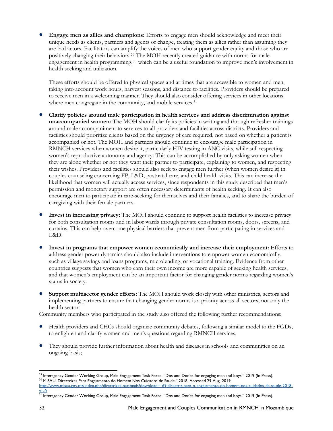• **Engage men as allies and champions:** Efforts to engage men should acknowledge and meet their unique needs as clients, partners and agents of change, treating them as allies rather than assuming they are bad actors. Facilitators can amplify the voices of men who support gender equity and those who are positively changing their behaviors[.29](#page-31-0) The MOH recently created guidance with norms for male engagement in health programming,[30](#page-31-1) which can be a useful foundation to improve men's involvement in health seeking and utilization.

These efforts should be offered in physical spaces and at times that are accessible to women and men, taking into account work hours, harvest seasons, and distance to facilities. Providers should be prepared to receive men in a welcoming manner. They should also consider offering services in other locations where men congregate in the community, and mobile services.<sup>[31](#page-31-2)</sup>

- **Clarify policies around male participation in health services and address discrimination against unaccompanied women:** The MOH should clarify its policies in writing and through refresher trainings around male accompaniment to services to all providers and facilities across districts. Providers and facilities should prioritize clients based on the urgency of care required, not based on whether a patient is accompanied or not. The MOH and partners should continue to encourage male participation in RMNCH services when women desire it, particularly HIV testing in ANC visits, while still respecting women's reproductive autonomy and agency. This can be accomplished by only asking women when they are alone whether or not they want their partner to participate, explaining to women, and respecting their wishes. Providers and facilities should also seek to engage men further (when women desire it) in couples counseling concerning FP, L&D, postnatal care, and child health visits. This can increase the likelihood that women will actually access services, since respondents in this study described that men's permission and monetary support are often necessary determinants of health seeking. It can also encourage men to participate in care-seeking for themselves and their families, and to share the burden of caregiving with their female partners.
- **Invest in increasing privacy:** The MOH should continue to support health facilities to increase privacy for both consultation rooms and in labor wards through private consultation rooms, doors, screens, and curtains. This can help overcome physical barriers that prevent men from participating in services and L&D.
- **Invest in programs that empower women economically and increase their employment:** Efforts to address gender power dynamics should also include interventions to empower women economically, such as village savings and loans programs, microlending, or vocational training. Evidence from other countries suggests that women who earn their own income are more capable of seeking health services, and that women's employment can be an important factor for changing gender norms regarding women's status in society.
- **Support multisector gender efforts:** The MOH should work closely with other ministries, sectors and implementing partners to ensure that changing gender norms is a priority across all sectors, not only the health sector.

Community members who participated in the study also offered the following further recommendations:

- Health providers and CHCs should organize community debates, following a similar model to the FGDs, to enlighten and clarify women and men's questions regarding RMNCH services;
- They should provide further information about health and diseases in schools and communities on an ongoing basis;

<span id="page-31-0"></span> $\overline{\phantom{a}}$ <sup>29</sup> Interagency Gender Working Group, Male Engagement Task Force. "Dos and Don'ts for engaging men and boys." 2019 (In Press).<br><sup>30</sup> MISAU. Directrizes Para Engajamento do Homem Nos Cuidados de Saude." 2018. Accessed 29 Au

<span id="page-31-1"></span>[http://www.misau.gov.mz/index.php/directrizes-nacionais?download=169:directriz-para-o-engajamento-do-homem-nos-cuidados-de-saude-2018](http://www.misau.gov.mz/index.php/directrizes-nacionais?download=169:directriz-para-o-engajamento-do-homem-nos-cuidados-de-saude-2018-v1-0) [v1-0](http://www.misau.gov.mz/index.php/directrizes-nacionais?download=169:directriz-para-o-engajamento-do-homem-nos-cuidados-de-saude-2018-v1-0)

<span id="page-31-2"></span><sup>&</sup>lt;sup>31</sup> Interagency Gender Working Group, Male Engagement Task Force. "Dos and Don'ts for engaging men and boys." 2019 (In Press).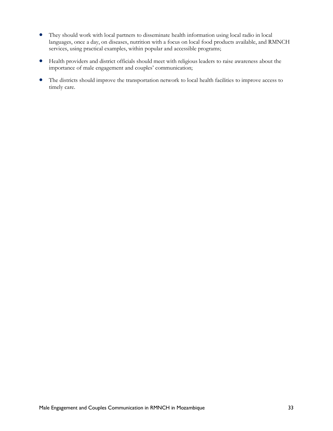- They should work with local partners to disseminate health information using local radio in local languages, once a day, on diseases, nutrition with a focus on local food products available, and RMNCH services, using practical examples, within popular and accessible programs;
- Health providers and district officials should meet with religious leaders to raise awareness about the importance of male engagement and couples' communication;
- The districts should improve the transportation network to local health facilities to improve access to timely care.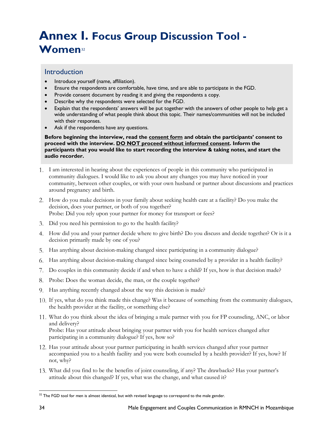# <span id="page-33-0"></span>**Annex I. Focus Group Discussion Tool - Women**[32](#page-33-1)

### Introduction

- Introduce yourself (name, affiliation).
- Ensure the respondents are comfortable, have time, and are able to participate in the FGD.
- Provide consent document by reading it and giving the respondents a copy.
- Describe why the respondents were selected for the FGD.
- Explain that the respondents' answers will be put together with the answers of other people to help get a wide understanding of what people think about this topic. Their names/communities will not be included with their responses.
- Ask if the respondents have any questions.

**Before beginning the interview, read the consent form and obtain the participants' consent to proceed with the interview. DO NOT proceed without informed consent. Inform the participants that you would like to start recording the interview & taking notes, and start the audio recorder.** 

- I am interested in hearing about the experiences of people in this community who participated in community dialogues. I would like to ask you about any changes you may have noticed in your community, between other couples, or with your own husband or partner about discussions and practices around pregnancy and birth.
- How do you make decisions in your family about seeking health care at a facility? Do you make the decision, does your partner, or both of you together? Probe: Did you rely upon your partner for money for transport or fees?
- Did you need his permission to go to the health facility?
- How did you and your partner decide where to give birth? Do you discuss and decide together? Or is it a decision primarily made by one of you?
- Has anything about decision-making changed since participating in a community dialogue?
- Has anything about decision-making changed since being counseled by a provider in a health facility?
- Do couples in this community decide if and when to have a child? If yes, how is that decision made?
- Probe: Does the woman decide, the man, or the couple together?
- 9. Has anything recently changed about the way this decision is made?
- If yes, what do you think made this change? Was it because of something from the community dialogues, the health provider at the facility, or something else?
- What do you think about the idea of bringing a male partner with you for FP counseling, ANC, or labor and delivery? Probe: Has your attitude about bringing your partner with you for health services changed after participating in a community dialogue? If yes, how so?
- 12. Has your attitude about your partner participating in health services changed after your partner accompanied you to a health facility and you were both counseled by a health provider? If yes, how? If not, why?
- What did you find to be the benefits of joint counseling, if any? The drawbacks? Has your partner's attitude about this changed? If yes, what was the change, and what caused it?

<span id="page-33-1"></span>l  $32$  The FGD tool for men is almost identical, but with revised language to correspond to the male gender.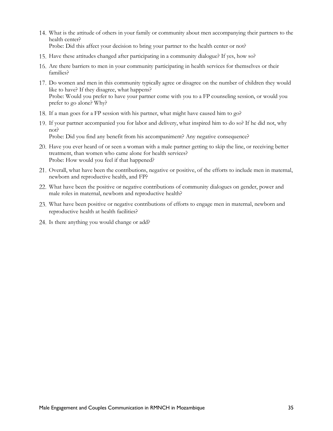- What is the attitude of others in your family or community about men accompanying their partners to the health center? Probe: Did this affect your decision to bring your partner to the health center or not?
- Have these attitudes changed after participating in a community dialogue? If yes, how so?
- Are there barriers to men in your community participating in health services for themselves or their families?
- Do women and men in this community typically agree or disagree on the number of children they would like to have? If they disagree, what happens? Probe: Would you prefer to have your partner come with you to a FP counseling session, or would you prefer to go alone? Why?
- If a man goes for a FP session with his partner, what might have caused him to go?
- If your partner accompanied you for labor and delivery, what inspired him to do so? If he did not, why not? Probe: Did you find any benefit from his accompaniment? Any negative consequence?
- Have you ever heard of or seen a woman with a male partner getting to skip the line, or receiving better treatment, than women who came alone for health services? Probe: How would you feel if that happened?
- Overall, what have been the contributions, negative or positive, of the efforts to include men in maternal, newborn and reproductive health, and FP?
- What have been the positive or negative contributions of community dialogues on gender, power and male roles in maternal, newborn and reproductive health?
- What have been positive or negative contributions of efforts to engage men in maternal, newborn and reproductive health at health facilities?
- 24. Is there anything you would change or add?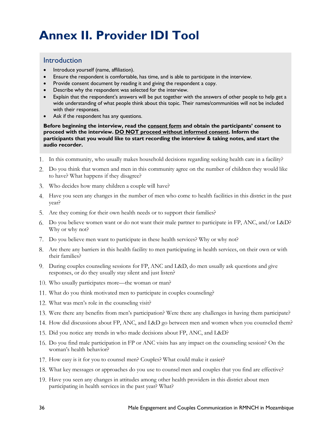# <span id="page-35-0"></span>**Annex II. Provider IDI Tool**

### Introduction

- Introduce yourself (name, affiliation).
- Ensure the respondent is comfortable, has time, and is able to participate in the interview.
- Provide consent document by reading it and giving the respondent a copy.
- Describe why the respondent was selected for the interview.
- Explain that the respondent's answers will be put together with the answers of other people to help get a wide understanding of what people think about this topic. Their names/communities will not be included with their responses.
- Ask if the respondent has any questions.

**Before beginning the interview, read the consent form and obtain the participants' consent to proceed with the interview. DO NOT proceed without informed consent. Inform the participants that you would like to start recording the interview & taking notes, and start the audio recorder.** 

- In this community, who usually makes household decisions regarding seeking health care in a facility?
- Do you think that women and men in this community agree on the number of children they would like to have? What happens if they disagree?
- Who decides how many children a couple will have?
- Have you seen any changes in the number of men who come to health facilities in this district in the past year?
- Are they coming for their own health needs or to support their families?
- Do you believe women want or do not want their male partner to participate in FP, ANC, and/or L&D? Why or why not?
- Do you believe men want to participate in these health services? Why or why not?
- Are there any barriers in this health facility to men participating in health services, on their own or with their families?
- During couples counseling sessions for FP, ANC and L&D, do men usually ask questions and give responses, or do they usually stay silent and just listen?
- Who usually participates more—the woman or man?
- What do you think motivated men to participate in couples counseling?
- What was men's role in the counseling visit?
- Were there any benefits from men's participation? Were there any challenges in having them participate?
- 14. How did discussions about FP, ANC, and L&D go between men and women when you counseled them?
- 15. Did you notice any trends in who made decisions about FP, ANC, and L&D?
- Do you find male participation in FP or ANC visits has any impact on the counseling session? On the woman's health behavior?
- 17. How easy is it for you to counsel men? Couples? What could make it easier?
- What key messages or approaches do you use to counsel men and couples that you find are effective?
- Have you seen any changes in attitudes among other health providers in this district about men participating in health services in the past year? What?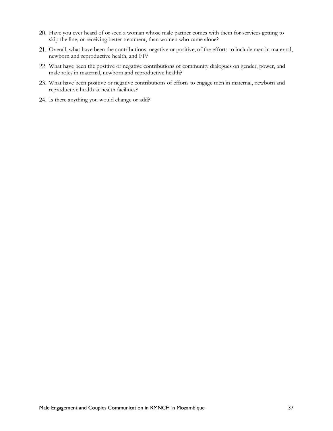- Have you ever heard of or seen a woman whose male partner comes with them for services getting to skip the line, or receiving better treatment, than women who came alone?
- Overall, what have been the contributions, negative or positive, of the efforts to include men in maternal, newborn and reproductive health, and FP?
- What have been the positive or negative contributions of community dialogues on gender, power, and male roles in maternal, newborn and reproductive health?
- What have been positive or negative contributions of efforts to engage men in maternal, newborn and reproductive health at health facilities?
- 24. Is there anything you would change or add?